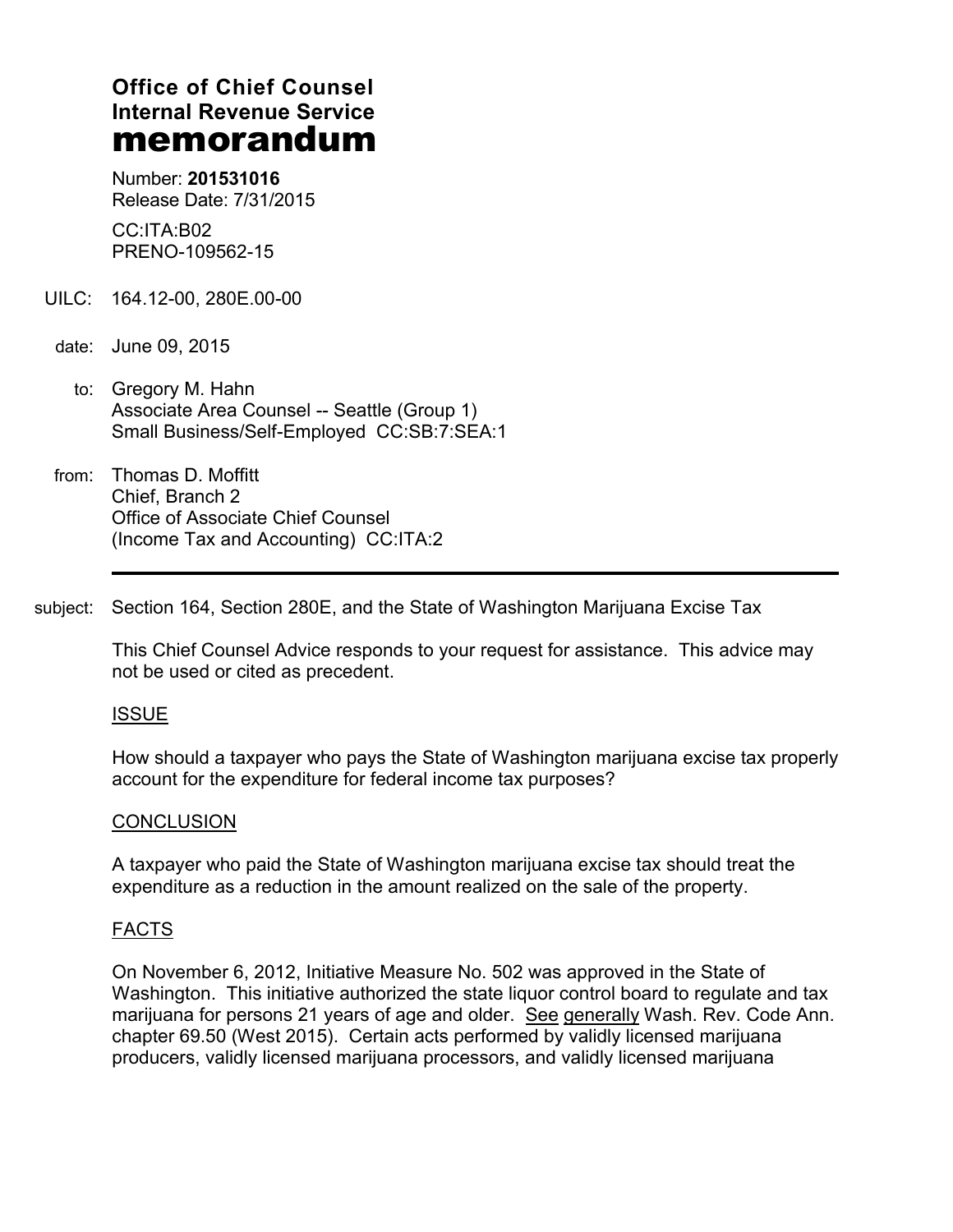# **Office of Chief Counsel Internal Revenue Service memorandum**

Number: **201531016** Release Date: 7/31/2015

CC:ITA:B02 PRENO-109562-15

- UILC: 164.12-00, 280E.00-00
- date: June 09, 2015
	- to: Gregory M. Hahn Associate Area Counsel -- Seattle (Group 1) Small Business/Self-Employed CC:SB:7:SEA:1
- from: Thomas D. Moffitt Chief, Branch 2 Office of Associate Chief Counsel (Income Tax and Accounting) CC:ITA:2

subject: Section 164, Section 280E, and the State of Washington Marijuana Excise Tax

This Chief Counsel Advice responds to your request for assistance. This advice may not be used or cited as precedent.

## ISSUE

How should a taxpayer who pays the State of Washington marijuana excise tax properly account for the expenditure for federal income tax purposes?

## **CONCLUSION**

A taxpayer who paid the State of Washington marijuana excise tax should treat the expenditure as a reduction in the amount realized on the sale of the property.

## FACTS

On November 6, 2012, Initiative Measure No. 502 was approved in the State of Washington. This initiative authorized the state liquor control board to regulate and tax marijuana for persons 21 years of age and older. See generally Wash. Rev. Code Ann. chapter 69.50 (West 2015). Certain acts performed by validly licensed marijuana producers, validly licensed marijuana processors, and validly licensed marijuana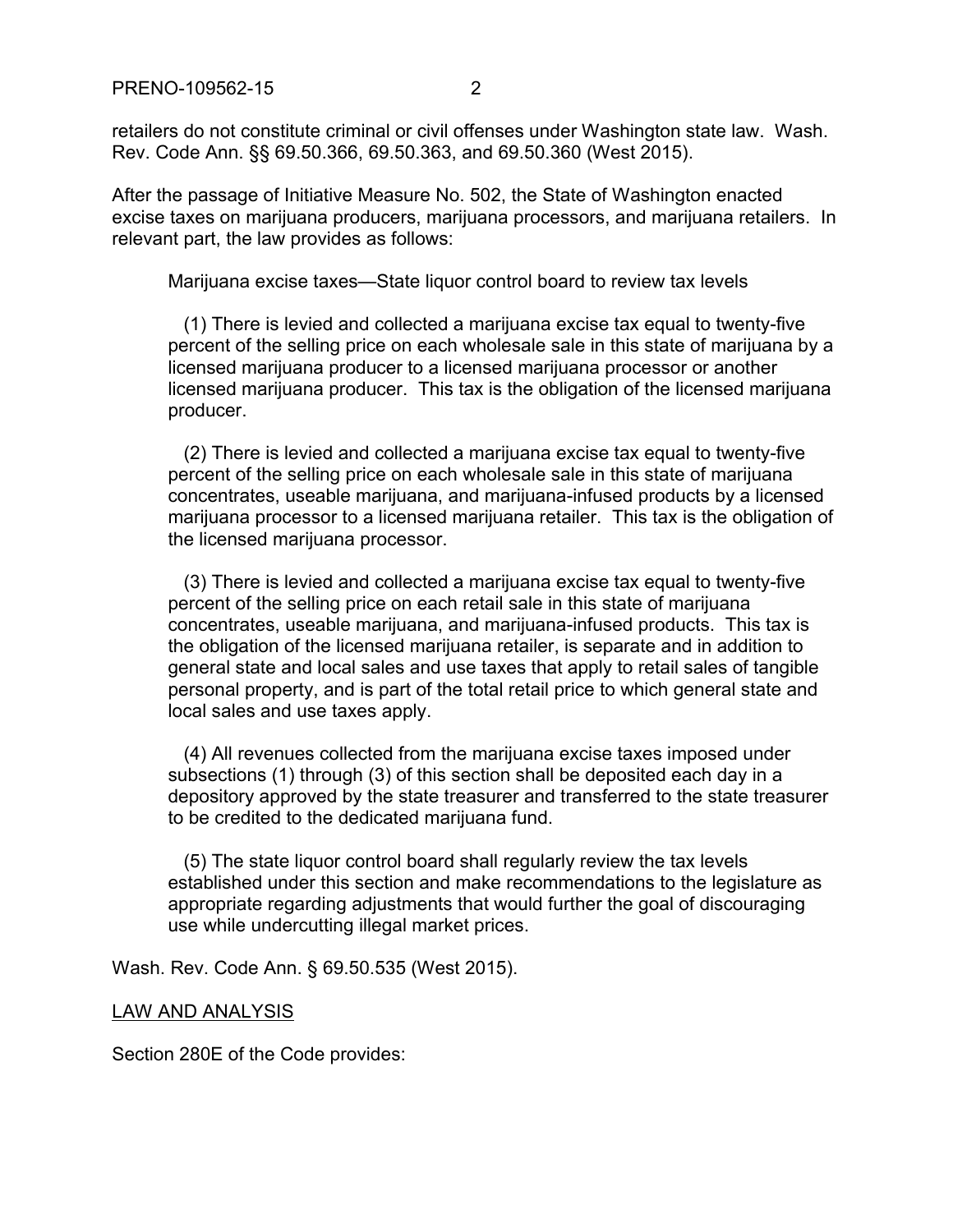retailers do not constitute criminal or civil offenses under Washington state law. Wash. Rev. Code Ann. §§ 69.50.366, 69.50.363, and 69.50.360 (West 2015).

After the passage of Initiative Measure No. 502, the State of Washington enacted excise taxes on marijuana producers, marijuana processors, and marijuana retailers. In relevant part, the law provides as follows:

Marijuana excise taxes—State liquor control board to review tax levels

 (1) There is levied and collected a marijuana excise tax equal to twenty-five percent of the selling price on each wholesale sale in this state of marijuana by a licensed marijuana producer to a licensed marijuana processor or another licensed marijuana producer. This tax is the obligation of the licensed marijuana producer.

 (2) There is levied and collected a marijuana excise tax equal to twenty-five percent of the selling price on each wholesale sale in this state of marijuana concentrates, useable marijuana, and marijuana-infused products by a licensed marijuana processor to a licensed marijuana retailer. This tax is the obligation of the licensed marijuana processor.

 (3) There is levied and collected a marijuana excise tax equal to twenty-five percent of the selling price on each retail sale in this state of marijuana concentrates, useable marijuana, and marijuana-infused products. This tax is the obligation of the licensed marijuana retailer, is separate and in addition to general state and local sales and use taxes that apply to retail sales of tangible personal property, and is part of the total retail price to which general state and local sales and use taxes apply.

 (4) All revenues collected from the marijuana excise taxes imposed under subsections (1) through (3) of this section shall be deposited each day in a depository approved by the state treasurer and transferred to the state treasurer to be credited to the dedicated marijuana fund.

 (5) The state liquor control board shall regularly review the tax levels established under this section and make recommendations to the legislature as appropriate regarding adjustments that would further the goal of discouraging use while undercutting illegal market prices.

Wash. Rev. Code Ann. § 69.50.535 (West 2015).

## LAW AND ANALYSIS

Section 280E of the Code provides: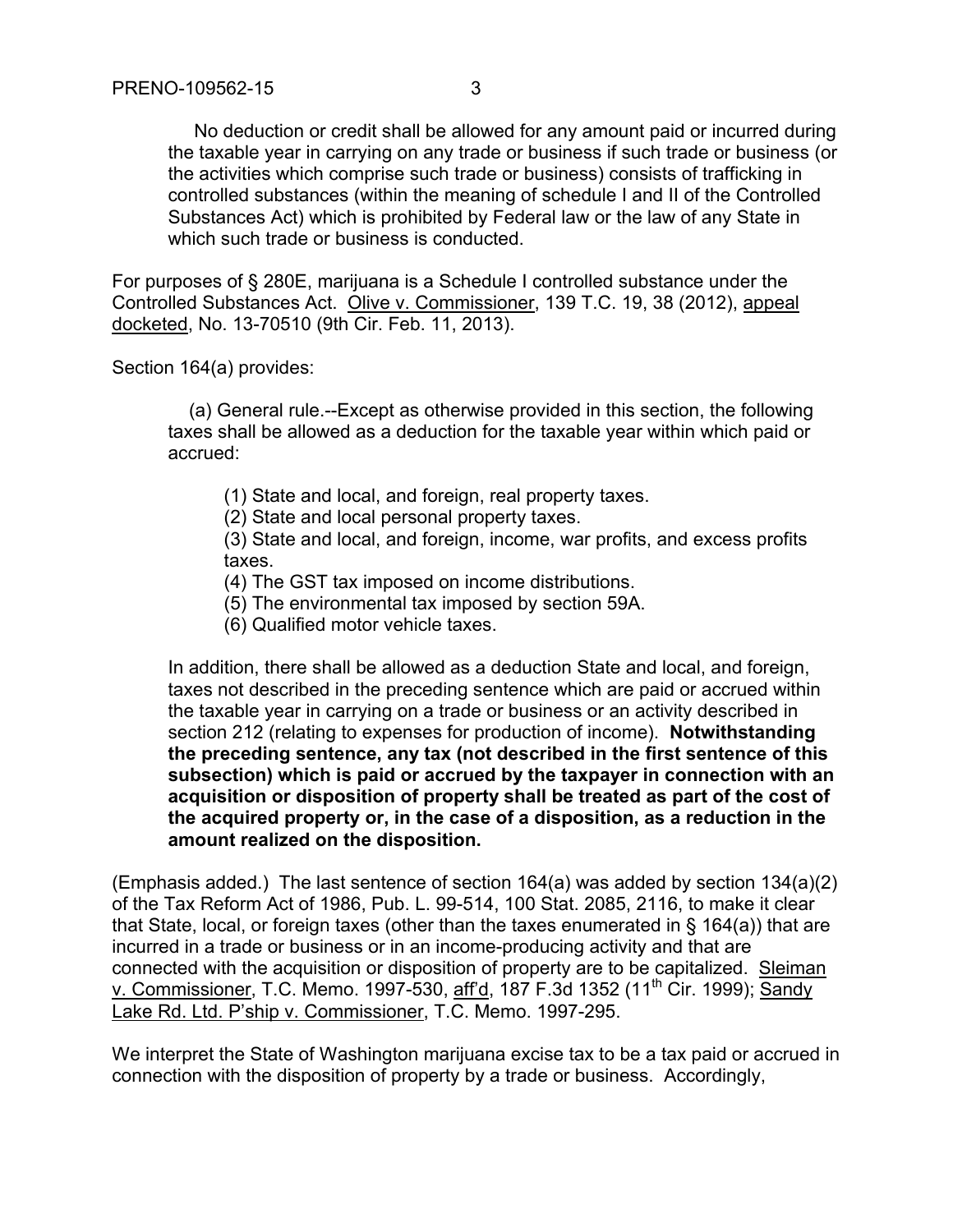No deduction or credit shall be allowed for any amount paid or incurred during the taxable year in carrying on any trade or business if such trade or business (or the activities which comprise such trade or business) consists of trafficking in controlled substances (within the meaning of schedule I and II of the Controlled Substances Act) which is prohibited by Federal law or the law of any State in which such trade or business is conducted.

For purposes of § 280E, marijuana is a Schedule I controlled substance under the Controlled Substances Act. Olive v. Commissioner, 139 T.C. 19, 38 (2012), appeal docketed, No. 13-70510 (9th Cir. Feb. 11, 2013).

Section 164(a) provides:

 (a) General rule.--Except as otherwise provided in this section, the following taxes shall be allowed as a deduction for the taxable year within which paid or accrued:

(1) State and local, and foreign, real property taxes.

(2) State and local personal property taxes.

(3) State and local, and foreign, income, war profits, and excess profits taxes.

(4) The GST tax imposed on income distributions.

(5) The environmental tax imposed by section 59A.

(6) Qualified motor vehicle taxes.

In addition, there shall be allowed as a deduction State and local, and foreign, taxes not described in the preceding sentence which are paid or accrued within the taxable year in carrying on a trade or business or an activity described in section 212 (relating to expenses for production of income). **Notwithstanding the preceding sentence, any tax (not described in the first sentence of this subsection) which is paid or accrued by the taxpayer in connection with an acquisition or disposition of property shall be treated as part of the cost of the acquired property or, in the case of a disposition, as a reduction in the amount realized on the disposition.**

(Emphasis added.) The last sentence of section 164(a) was added by section 134(a)(2) of the Tax Reform Act of 1986, Pub. L. 99-514, 100 Stat. 2085, 2116, to make it clear that State, local, or foreign taxes (other than the taxes enumerated in § 164(a)) that are incurred in a trade or business or in an income-producing activity and that are connected with the acquisition or disposition of property are to be capitalized. Sleiman v. Commissioner, T.C. Memo. 1997-530, aff'd, 187 F.3d 1352 (11th Cir. 1999); Sandy Lake Rd. Ltd. P'ship v. Commissioner, T.C. Memo. 1997-295.

We interpret the State of Washington marijuana excise tax to be a tax paid or accrued in connection with the disposition of property by a trade or business. Accordingly,